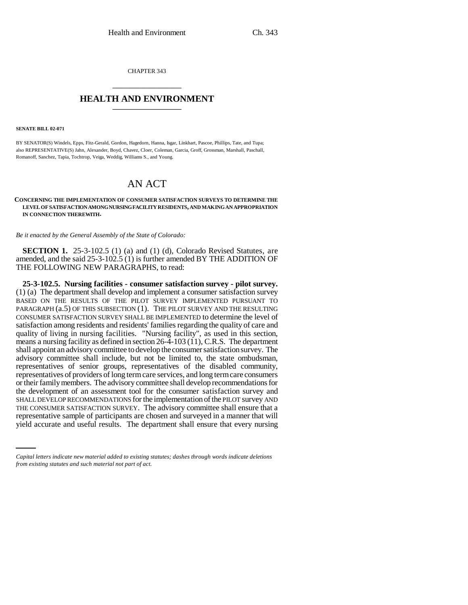CHAPTER 343 \_\_\_\_\_\_\_\_\_\_\_\_\_\_\_

## **HEALTH AND ENVIRONMENT** \_\_\_\_\_\_\_\_\_\_\_\_\_\_\_

#### **SENATE BILL 02-071**

BY SENATOR(S) Windels, Epps, Fitz-Gerald, Gordon, Hagedorn, Hanna, Isgar, Linkhart, Pascoe, Phillips, Tate, and Tupa; also REPRESENTATIVE(S) Jahn, Alexander, Boyd, Chavez, Cloer, Coleman, Garcia, Groff, Grossman, Marshall, Paschall, Romanoff, Sanchez, Tapia, Tochtrop, Veiga, Weddig, Williams S., and Young.

# AN ACT

#### **CONCERNING THE IMPLEMENTATION OF CONSUMER SATISFACTION SURVEYS TO DETERMINE THE LEVEL OF SATISFACTION AMONG NURSING FACILITY RESIDENTS, AND MAKING AN APPROPRIATION IN CONNECTION THEREWITH.**

*Be it enacted by the General Assembly of the State of Colorado:*

**SECTION 1.** 25-3-102.5 (1) (a) and (1) (d), Colorado Revised Statutes, are amended, and the said 25-3-102.5 (1) is further amended BY THE ADDITION OF THE FOLLOWING NEW PARAGRAPHS, to read:

THE CONSUMER SATISFACTION SURVEY. The advisory committee shall ensure that a **25-3-102.5. Nursing facilities - consumer satisfaction survey - pilot survey.** (1) (a) The department shall develop and implement a consumer satisfaction survey BASED ON THE RESULTS OF THE PILOT SURVEY IMPLEMENTED PURSUANT TO PARAGRAPH (a.5) OF THIS SUBSECTION (1). THE PILOT SURVEY AND THE RESULTING CONSUMER SATISFACTION SURVEY SHALL BE IMPLEMENTED to determine the level of satisfaction among residents and residents' families regarding the quality of care and quality of living in nursing facilities. "Nursing facility", as used in this section, means a nursing facility as defined in section 26-4-103 (11), C.R.S. The department shall appoint an advisory committee to develop the consumer satisfaction survey. The advisory committee shall include, but not be limited to, the state ombudsman, representatives of senior groups, representatives of the disabled community, representatives of providers of long term care services, and long term care consumers or their family members. The advisory committee shall develop recommendations for the development of an assessment tool for the consumer satisfaction survey and SHALL DEVELOP RECOMMENDATIONS for the implementation of the PILOT survey AND representative sample of participants are chosen and surveyed in a manner that will yield accurate and useful results. The department shall ensure that every nursing

*Capital letters indicate new material added to existing statutes; dashes through words indicate deletions from existing statutes and such material not part of act.*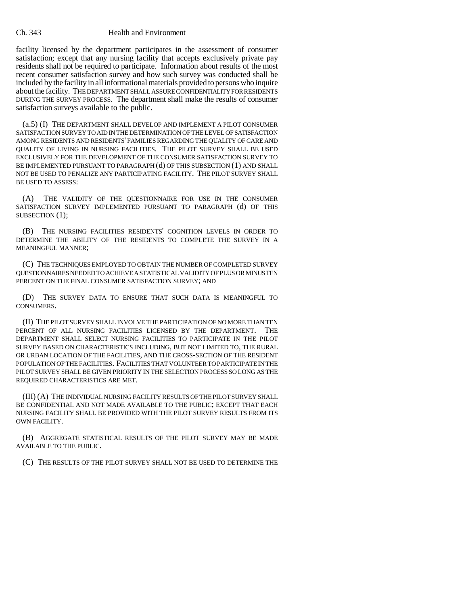### Ch. 343 Health and Environment

facility licensed by the department participates in the assessment of consumer satisfaction; except that any nursing facility that accepts exclusively private pay residents shall not be required to participate. Information about results of the most recent consumer satisfaction survey and how such survey was conducted shall be included by the facility in all informational materials provided to persons who inquire about the facility. THE DEPARTMENT SHALL ASSURE CONFIDENTIALITY FOR RESIDENTS DURING THE SURVEY PROCESS. The department shall make the results of consumer satisfaction surveys available to the public.

(a.5) (I) THE DEPARTMENT SHALL DEVELOP AND IMPLEMENT A PILOT CONSUMER SATISFACTION SURVEY TO AID IN THE DETERMINATION OF THE LEVEL OF SATISFACTION AMONG RESIDENTS AND RESIDENTS' FAMILIES REGARDING THE QUALITY OF CARE AND QUALITY OF LIVING IN NURSING FACILITIES. THE PILOT SURVEY SHALL BE USED EXCLUSIVELY FOR THE DEVELOPMENT OF THE CONSUMER SATISFACTION SURVEY TO BE IMPLEMENTED PURSUANT TO PARAGRAPH (d) OF THIS SUBSECTION (1) AND SHALL NOT BE USED TO PENALIZE ANY PARTICIPATING FACILITY. THE PILOT SURVEY SHALL BE USED TO ASSESS:

(A) THE VALIDITY OF THE QUESTIONNAIRE FOR USE IN THE CONSUMER SATISFACTION SURVEY IMPLEMENTED PURSUANT TO PARAGRAPH (d) OF THIS SUBSECTION (1);

(B) THE NURSING FACILITIES RESIDENTS' COGNITION LEVELS IN ORDER TO DETERMINE THE ABILITY OF THE RESIDENTS TO COMPLETE THE SURVEY IN A MEANINGFUL MANNER;

(C) THE TECHNIQUES EMPLOYED TO OBTAIN THE NUMBER OF COMPLETED SURVEY QUESTIONNAIRES NEEDED TO ACHIEVE A STATISTICAL VALIDITY OF PLUS OR MINUS TEN PERCENT ON THE FINAL CONSUMER SATISFACTION SURVEY; AND

(D) THE SURVEY DATA TO ENSURE THAT SUCH DATA IS MEANINGFUL TO CONSUMERS.

(II) THE PILOT SURVEY SHALL INVOLVE THE PARTICIPATION OF NO MORE THAN TEN PERCENT OF ALL NURSING FACILITIES LICENSED BY THE DEPARTMENT. THE DEPARTMENT SHALL SELECT NURSING FACILITIES TO PARTICIPATE IN THE PILOT SURVEY BASED ON CHARACTERISTICS INCLUDING, BUT NOT LIMITED TO, THE RURAL OR URBAN LOCATION OF THE FACILITIES, AND THE CROSS-SECTION OF THE RESIDENT POPULATION OF THE FACILITIES. FACILITIES THAT VOLUNTEER TO PARTICIPATE IN THE PILOT SURVEY SHALL BE GIVEN PRIORITY IN THE SELECTION PROCESS SO LONG AS THE REQUIRED CHARACTERISTICS ARE MET.

(III) (A) THE INDIVIDUAL NURSING FACILITY RESULTS OF THE PILOT SURVEY SHALL BE CONFIDENTIAL AND NOT MADE AVAILABLE TO THE PUBLIC; EXCEPT THAT EACH NURSING FACILITY SHALL BE PROVIDED WITH THE PILOT SURVEY RESULTS FROM ITS OWN FACILITY.

(B) AGGREGATE STATISTICAL RESULTS OF THE PILOT SURVEY MAY BE MADE AVAILABLE TO THE PUBLIC.

(C) THE RESULTS OF THE PILOT SURVEY SHALL NOT BE USED TO DETERMINE THE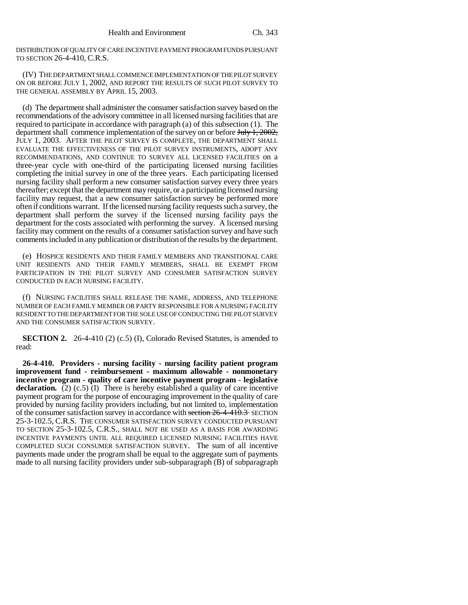DISTRIBUTION OF QUALITY OF CARE INCENTIVE PAYMENT PROGRAM FUNDS PURSUANT TO SECTION 26-4-410, C.R.S.

(IV) THE DEPARTMENT SHALL COMMENCE IMPLEMENTATION OF THE PILOT SURVEY ON OR BEFORE JULY 1, 2002, AND REPORT THE RESULTS OF SUCH PILOT SURVEY TO THE GENERAL ASSEMBLY BY APRIL 15, 2003.

(d) The department shall administer the consumer satisfaction survey based on the recommendations of the advisory committee in all licensed nursing facilities that are required to participate in accordance with paragraph (a) of this subsection (1). The department shall commence implementation of the survey on or before July 1, 2002, JULY 1, 2003. AFTER THE PILOT SURVEY IS COMPLETE, THE DEPARTMENT SHALL EVALUATE THE EFFECTIVENESS OF THE PILOT SURVEY INSTRUMENTS, ADOPT ANY RECOMMENDATIONS, AND CONTINUE TO SURVEY ALL LICENSED FACILITIES on a three-year cycle with one-third of the participating licensed nursing facilities completing the initial survey in one of the three years. Each participating licensed nursing facility shall perform a new consumer satisfaction survey every three years thereafter; except that the department may require, or a participating licensed nursing facility may request, that a new consumer satisfaction survey be performed more often if conditions warrant. If the licensed nursing facility requests such a survey, the department shall perform the survey if the licensed nursing facility pays the department for the costs associated with performing the survey. A licensed nursing facility may comment on the results of a consumer satisfaction survey and have such comments included in any publication or distribution of the results by the department.

(e) HOSPICE RESIDENTS AND THEIR FAMILY MEMBERS AND TRANSITIONAL CARE UNIT RESIDENTS AND THEIR FAMILY MEMBERS, SHALL BE EXEMPT FROM PARTICIPATION IN THE PILOT SURVEY AND CONSUMER SATISFACTION SURVEY CONDUCTED IN EACH NURSING FACILITY.

(f) NURSING FACILITIES SHALL RELEASE THE NAME, ADDRESS, AND TELEPHONE NUMBER OF EACH FAMILY MEMBER OR PARTY RESPONSIBLE FOR A NURSING FACILITY RESIDENT TO THE DEPARTMENT FOR THE SOLE USE OF CONDUCTING THE PILOT SURVEY AND THE CONSUMER SATISFACTION SURVEY.

**SECTION 2.** 26-4-410 (2) (c.5) (I), Colorado Revised Statutes, is amended to read:

**26-4-410. Providers - nursing facility - nursing facility patient program improvement fund - reimbursement - maximum allowable - nonmonetary incentive program - quality of care incentive payment program - legislative declaration.** (2) (c.5) (I) There is hereby established a quality of care incentive payment program for the purpose of encouraging improvement in the quality of care provided by nursing facility providers including, but not limited to, implementation of the consumer satisfaction survey in accordance with section 26-4-410.3 SECTION 25-3-102.5, C.R.S. THE CONSUMER SATISFACTION SURVEY CONDUCTED PURSUANT TO SECTION 25-3-102.5, C.R.S., SHALL NOT BE USED AS A BASIS FOR AWARDING INCENTIVE PAYMENTS UNTIL ALL REQUIRED LICENSED NURSING FACILITIES HAVE COMPLETED SUCH CONSUMER SATISFACTION SURVEY. The sum of all incentive payments made under the program shall be equal to the aggregate sum of payments made to all nursing facility providers under sub-subparagraph (B) of subparagraph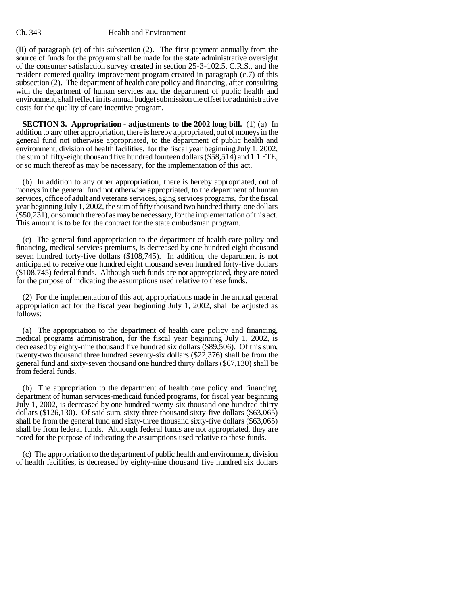### Ch. 343 Health and Environment

(II) of paragraph (c) of this subsection (2). The first payment annually from the source of funds for the program shall be made for the state administrative oversight of the consumer satisfaction survey created in section 25-3-102.5, C.R.S., and the resident-centered quality improvement program created in paragraph (c.7) of this subsection (2). The department of health care policy and financing, after consulting with the department of human services and the department of public health and environment, shall reflect in its annual budget submission the offset for administrative costs for the quality of care incentive program.

**SECTION 3. Appropriation - adjustments to the 2002 long bill.** (1) (a) In addition to any other appropriation, there is hereby appropriated, out of moneys in the general fund not otherwise appropriated, to the department of public health and environment, division of health facilities, for the fiscal year beginning July 1, 2002, the sum of fifty-eight thousand five hundred fourteen dollars (\$58,514) and 1.1 FTE, or so much thereof as may be necessary, for the implementation of this act.

(b) In addition to any other appropriation, there is hereby appropriated, out of moneys in the general fund not otherwise appropriated, to the department of human services, office of adult and veterans services, aging services programs, for the fiscal year beginning July 1, 2002, the sum of fifty thousand two hundred thirty-one dollars (\$50,231), or so much thereof as may be necessary, for the implementation of this act. This amount is to be for the contract for the state ombudsman program.

(c) The general fund appropriation to the department of health care policy and financing, medical services premiums, is decreased by one hundred eight thousand seven hundred forty-five dollars (\$108,745). In addition, the department is not anticipated to receive one hundred eight thousand seven hundred forty-five dollars (\$108,745) federal funds. Although such funds are not appropriated, they are noted for the purpose of indicating the assumptions used relative to these funds.

(2) For the implementation of this act, appropriations made in the annual general appropriation act for the fiscal year beginning July 1, 2002, shall be adjusted as follows:

(a) The appropriation to the department of health care policy and financing, medical programs administration, for the fiscal year beginning July 1, 2002, is decreased by eighty-nine thousand five hundred six dollars (\$89,506). Of this sum, twenty-two thousand three hundred seventy-six dollars (\$22,376) shall be from the general fund and sixty-seven thousand one hundred thirty dollars (\$67,130) shall be from federal funds.

(b) The appropriation to the department of health care policy and financing, department of human services-medicaid funded programs, for fiscal year beginning July 1, 2002, is decreased by one hundred twenty-six thousand one hundred thirty dollars (\$126,130). Of said sum, sixty-three thousand sixty-five dollars (\$63,065) shall be from the general fund and sixty-three thousand sixty-five dollars (\$63,065) shall be from federal funds. Although federal funds are not appropriated, they are noted for the purpose of indicating the assumptions used relative to these funds.

(c) The appropriation to the department of public health and environment, division of health facilities, is decreased by eighty-nine thousand five hundred six dollars